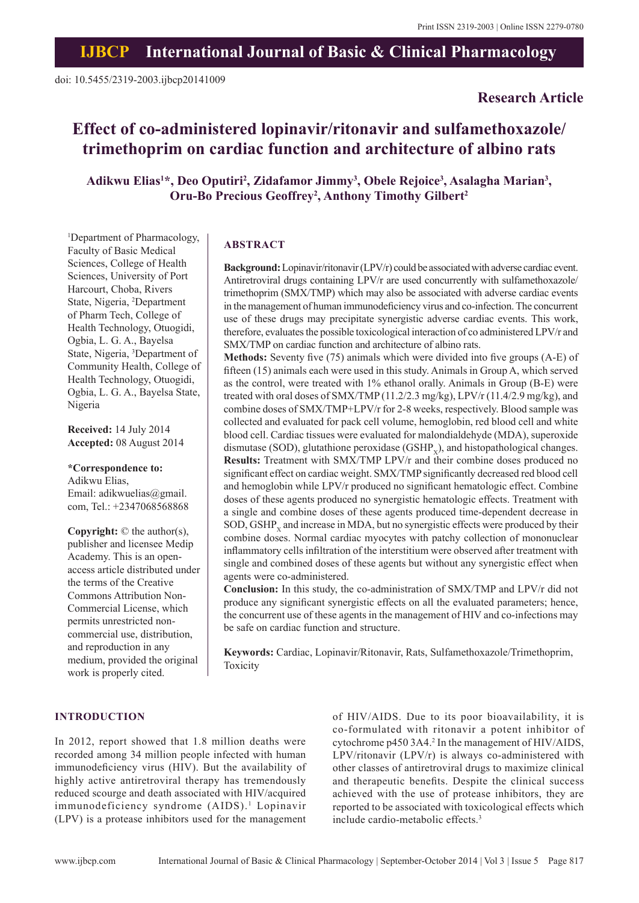**Research Article**

# **Effect of co-administered lopinavir/ritonavir and sulfamethoxazole/ trimethoprim on cardiac function and architecture of albino rats**

Adikwu Elias<sup>1\*</sup>, Deo Oputiri<sup>2</sup>, Zidafamor Jimmy<sup>3</sup>, Obele Rejoice<sup>3</sup>, Asalagha Marian<sup>3</sup>, **Oru-Bo Precious Geoffrey2 , Anthony Timothy Gilbert2**

1 Department of Pharmacology, Faculty of Basic Medical Sciences, College of Health Sciences, University of Port Harcourt, Choba, Rivers State, Nigeria, 2 Department of Pharm Tech, College of Health Technology, Otuogidi, Ogbia, L. G. A., Bayelsa State, Nigeria, 3 Department of Community Health, College of Health Technology, Otuogidi, Ogbia, L. G. A., Bayelsa State, Nigeria

**Received:** 14 July 2014 **Accepted:** 08 August 2014

**\*Correspondence to:** Adikwu Elias, Email: adikwuelias@gmail. com, Tel.: +2347068568868

**Copyright:** © the author(s), publisher and licensee Medip Academy. This is an openaccess article distributed under the terms of the Creative Commons Attribution Non-Commercial License, which permits unrestricted noncommercial use, distribution, and reproduction in any medium, provided the original work is properly cited.

## **ABSTRACT**

**Background:** Lopinavir/ritonavir (LPV/r) could be associated with adverse cardiac event. Antiretroviral drugs containing LPV/r are used concurrently with sulfamethoxazole/ trimethoprim (SMX/TMP) which may also be associated with adverse cardiac events in the management of human immunodeficiency virus and co-infection. The concurrent use of these drugs may precipitate synergistic adverse cardiac events. This work, therefore, evaluates the possible toxicological interaction of co administered LPV/r and SMX/TMP on cardiac function and architecture of albino rats.

**Methods:** Seventy five (75) animals which were divided into five groups (A-E) of fifteen (15) animals each were used in this study. Animals in Group A, which served as the control, were treated with 1% ethanol orally. Animals in Group (B-E) were treated with oral doses of SMX/TMP (11.2/2.3 mg/kg), LPV/r (11.4/2.9 mg/kg), and combine doses of SMX/TMP+LPV/r for 2-8 weeks, respectively. Blood sample was collected and evaluated for pack cell volume, hemoglobin, red blood cell and white blood cell. Cardiac tissues were evaluated for malondialdehyde (MDA), superoxide dismutase (SOD), glutathione peroxidase  $(GSHP_v)$ , and histopathological changes. **Results:** Treatment with SMX/TMP LPV/r and their combine doses produced no significant effect on cardiac weight. SMX/TMP significantly decreased red blood cell and hemoglobin while LPV/r produced no significant hematologic effect. Combine doses of these agents produced no synergistic hematologic effects. Treatment with a single and combine doses of these agents produced time-dependent decrease in  $SOD, GSHP<sub>v</sub>$  and increase in MDA, but no synergistic effects were produced by their combine doses. Normal cardiac myocytes with patchy collection of mononuclear inflammatory cells infiltration of the interstitium were observed after treatment with single and combined doses of these agents but without any synergistic effect when agents were co-administered.

**Conclusion:** In this study, the co-administration of SMX/TMP and LPV/r did not produce any significant synergistic effects on all the evaluated parameters; hence, the concurrent use of these agents in the management of HIV and co-infections may be safe on cardiac function and structure.

**Keywords:** Cardiac, Lopinavir/Ritonavir, Rats, Sulfamethoxazole/Trimethoprim, Toxicity

#### **INTRODUCTION**

In 2012, report showed that 1.8 million deaths were recorded among 34 million people infected with human immunodeficiency virus (HIV). But the availability of highly active antiretroviral therapy has tremendously reduced scourge and death associated with HIV/acquired immunodeficiency syndrome (AIDS).<sup>1</sup> Lopinavir (LPV) is a protease inhibitors used for the management

of HIV/AIDS. Due to its poor bioavailability, it is co-formulated with ritonavir a potent inhibitor of cytochrome p450 3A4.<sup>2</sup> In the management of HIV/AIDS, LPV/ritonavir (LPV/r) is always co-administered with other classes of antiretroviral drugs to maximize clinical and therapeutic benefits. Despite the clinical success achieved with the use of protease inhibitors, they are reported to be associated with toxicological effects which include cardio-metabolic effects.<sup>3</sup>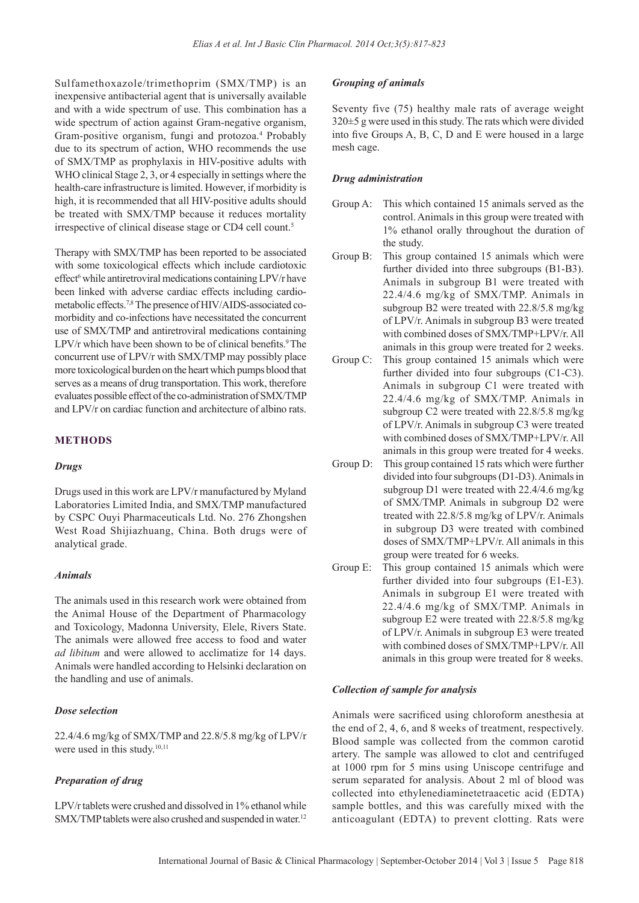Sulfamethoxazole/trimethoprim (SMX/TMP) is an inexpensive antibacterial agent that is universally available and with a wide spectrum of use. This combination has a wide spectrum of action against Gram-negative organism, Gram-positive organism, fungi and protozoa.<sup>4</sup> Probably due to its spectrum of action, WHO recommends the use of SMX/TMP as prophylaxis in HIV-positive adults with WHO clinical Stage 2, 3, or 4 especially in settings where the health-care infrastructure is limited. However, if morbidity is high, it is recommended that all HIV-positive adults should be treated with SMX/TMP because it reduces mortality irrespective of clinical disease stage or CD4 cell count.<sup>5</sup>

Therapy with SMX/TMP has been reported to be associated with some toxicological effects which include cardiotoxic effect<sup>6</sup> while antiretroviral medications containing LPV/r have been linked with adverse cardiac effects including cardiometabolic effects.7,8 The presence of HIV/AIDS-associated comorbidity and co-infections have necessitated the concurrent use of SMX/TMP and antiretroviral medications containing  $LPV/r$  which have been shown to be of clinical benefits.<sup>9</sup> The concurrent use of LPV/r with SMX/TMP may possibly place more toxicological burden on the heart which pumps blood that serves as a means of drug transportation. This work, therefore evaluates possible effect of the co-administration of SMX/TMP and LPV/r on cardiac function and architecture of albino rats.

# **METHODS**

# *Drugs*

Drugs used in this work are LPV/r manufactured by Myland Laboratories Limited India, and SMX/TMP manufactured by CSPC Ouyi Pharmaceuticals Ltd. No. 276 Zhongshen West Road Shijiazhuang, China. Both drugs were of analytical grade.

# *Animals*

The animals used in this research work were obtained from the Animal House of the Department of Pharmacology and Toxicology, Madonna University, Elele, Rivers State. The animals were allowed free access to food and water *ad libitum* and were allowed to acclimatize for 14 days. Animals were handled according to Helsinki declaration on the handling and use of animals.

# *Dose selection*

22.4/4.6 mg/kg of SMX/TMP and 22.8/5.8 mg/kg of LPV/r were used in this study.<sup>10,11</sup>

# *Preparation of drug*

LPV/r tablets were crushed and dissolved in 1% ethanol while SMX/TMP tablets were also crushed and suspended in water.<sup>12</sup>

# *Grouping of animals*

Seventy five (75) healthy male rats of average weight 320±5 g were used in this study. The rats which were divided into five Groups A, B, C, D and E were housed in a large mesh cage.

## *Drug administration*

- Group A: This which contained 15 animals served as the control. Animals in this group were treated with 1% ethanol orally throughout the duration of the study.
- Group B: This group contained 15 animals which were further divided into three subgroups (B1-B3). Animals in subgroup B1 were treated with 22.4/4.6 mg/kg of SMX/TMP. Animals in subgroup B2 were treated with 22.8/5.8 mg/kg of LPV/r. Animals in subgroup B3 were treated with combined doses of SMX/TMP+LPV/r. All animals in this group were treated for 2 weeks.
- Group C: This group contained 15 animals which were further divided into four subgroups (C1-C3). Animals in subgroup C1 were treated with 22.4/4.6 mg/kg of SMX/TMP. Animals in subgroup C2 were treated with 22.8/5.8 mg/kg of LPV/r. Animals in subgroup C3 were treated with combined doses of SMX/TMP+LPV/r. All animals in this group were treated for 4 weeks.
- Group D: This group contained 15 rats which were further divided into four subgroups (D1-D3). Animals in subgroup D1 were treated with 22.4/4.6 mg/kg of SMX/TMP. Animals in subgroup D2 were treated with 22.8/5.8 mg/kg of LPV/r. Animals in subgroup D3 were treated with combined doses of SMX/TMP+LPV/r. All animals in this group were treated for 6 weeks.
- Group E: This group contained 15 animals which were further divided into four subgroups (E1-E3). Animals in subgroup E1 were treated with 22.4/4.6 mg/kg of SMX/TMP. Animals in subgroup E2 were treated with 22.8/5.8 mg/kg of LPV/r. Animals in subgroup E3 were treated with combined doses of SMX/TMP+LPV/r. All animals in this group were treated for 8 weeks.

# *Collection of sample for analysis*

Animals were sacrificed using chloroform anesthesia at the end of 2, 4, 6, and 8 weeks of treatment, respectively. Blood sample was collected from the common carotid artery. The sample was allowed to clot and centrifuged at 1000 rpm for 5 mins using Uniscope centrifuge and serum separated for analysis. About 2 ml of blood was collected into ethylenediaminetetraacetic acid (EDTA) sample bottles, and this was carefully mixed with the anticoagulant (EDTA) to prevent clotting. Rats were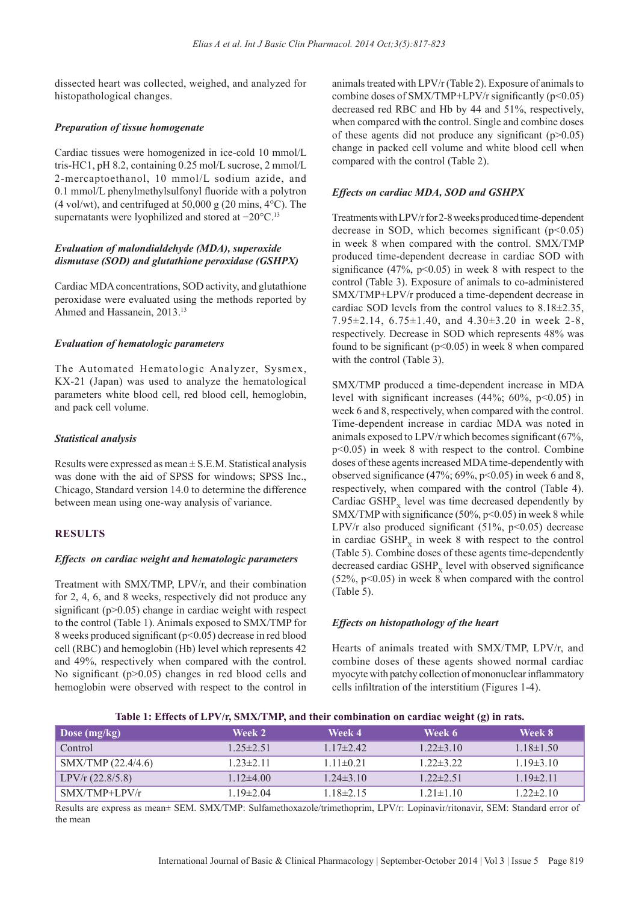dissected heart was collected, weighed, and analyzed for histopathological changes.

# *Preparation of tissue homogenate*

Cardiac tissues were homogenized in ice-cold 10 mmol/L tris-HC1, pH 8.2, containing 0.25 mol/L sucrose, 2 mmol/L 2-mercaptoethanol, 10 mmol/L sodium azide, and 0.1 mmol/L phenylmethylsulfonyl fluoride with a polytron  $(4 \text{ vol/wt})$ , and centrifuged at 50,000 g  $(20 \text{ mins}, 4^{\circ}\text{C})$ . The supernatants were lyophilized and stored at −20°C.<sup>13</sup>

# *Evaluation of malondialdehyde (MDA), superoxide dismutase (SOD) and glutathione peroxidase (GSHPX)*

Cardiac MDA concentrations, SOD activity, and glutathione peroxidase were evaluated using the methods reported by Ahmed and Hassanein, 2013.<sup>13</sup>

# *Evaluation of hematologic parameters*

The Automated Hematologic Analyzer, Sysmex, KX-21 (Japan) was used to analyze the hematological parameters white blood cell, red blood cell, hemoglobin, and pack cell volume.

# *Statistical analysis*

Results were expressed as mean  $\pm$  S.E.M. Statistical analysis was done with the aid of SPSS for windows; SPSS Inc., Chicago, Standard version 14.0 to determine the difference between mean using one-way analysis of variance.

# **RESULTS**

# *Effects on cardiac weight and hematologic parameters*

Treatment with SMX/TMP, LPV/r, and their combination for 2, 4, 6, and 8 weeks, respectively did not produce any significant (p>0.05) change in cardiac weight with respect to the control (Table 1). Animals exposed to SMX/TMP for 8 weeks produced significant (p<0.05) decrease in red blood cell (RBC) and hemoglobin (Hb) level which represents 42 and 49%, respectively when compared with the control. No significant (p>0.05) changes in red blood cells and hemoglobin were observed with respect to the control in

animals treated with LPV/r (Table 2). Exposure of animals to combine doses of SMX/TMP+LPV/r significantly  $(p<0.05)$ decreased red RBC and Hb by 44 and 51%, respectively, when compared with the control. Single and combine doses of these agents did not produce any significant  $(p>0.05)$ change in packed cell volume and white blood cell when compared with the control (Table 2).

# *Effects on cardiac MDA, SOD and GSHPX*

Treatments with LPV/r for 2-8weeks produced time-dependent decrease in SOD, which becomes significant  $(p<0.05)$ in week 8 when compared with the control. SMX/TMP produced time-dependent decrease in cardiac SOD with significance  $(47\%, p<0.05)$  in week 8 with respect to the control (Table 3). Exposure of animals to co-administered SMX/TMP+LPV/r produced a time-dependent decrease in cardiac SOD levels from the control values to 8.18±2.35, 7.95 $\pm$ 2.14, 6.75 $\pm$ 1.40, and 4.30 $\pm$ 3.20 in week 2-8, respectively. Decrease in SOD which represents 48% was found to be significant  $(p<0.05)$  in week 8 when compared with the control (Table 3).

SMX/TMP produced a time-dependent increase in MDA level with significant increases  $(44\%; 60\%; p<0.05)$  in week 6 and 8, respectively, when compared with the control. Time-dependent increase in cardiac MDA was noted in animals exposed to LPV/r which becomes significant (67%, p<0.05) in week 8 with respect to the control. Combine doses of these agents increased MDA time-dependently with observed significance  $(47\%; 69\%, p<0.05)$  in week 6 and 8, respectively, when compared with the control (Table 4). Cardiac  $GSHP_{v}$  level was time decreased dependently by SMX/TMP with significance  $(50\%, p<0.05)$  in week 8 while LPV/r also produced significant  $(51\%, p<0.05)$  decrease in cardiac  $GSHP_v$  in week 8 with respect to the control (Table 5). Combine doses of these agents time-dependently decreased cardiac  $GSHP_x$  level with observed significance (52%, p<0.05) in week 8 when compared with the control (Table 5).

# *Effects on histopathology of the heart*

Hearts of animals treated with SMX/TMP, LPV/r, and combine doses of these agents showed normal cardiac myocyte with patchy collection of mononuclear inflammatory cells infiltration of the interstitium (Figures 1-4).

|  |  |  | Table 1: Effects of LPV/r, SMX/TMP, and their combination on cardiac weight (g) in rats. |
|--|--|--|------------------------------------------------------------------------------------------|
|--|--|--|------------------------------------------------------------------------------------------|

| Week 2        | Week 4          | Week 6          | Week 8          |
|---------------|-----------------|-----------------|-----------------|
| $125\pm2.51$  | $117\pm 242$    | $1.22 \pm 3.10$ | $1.18 \pm 1.50$ |
| $123\pm211$   | $111\pm0.21$    | $122\pm322$     | $1.19\pm3.10$   |
| $1.12\pm4.00$ | $1.24 \pm 3.10$ | $1.22 \pm 2.51$ | $1.19\pm2.11$   |
| $119\pm2.04$  | $118\pm215$     | $1.21 \pm 1.10$ | $1.22 \pm 2.10$ |
|               |                 |                 |                 |

Results are express as mean± SEM. SMX/TMP: Sulfamethoxazole/trimethoprim, LPV/r: Lopinavir/ritonavir, SEM: Standard error of the mean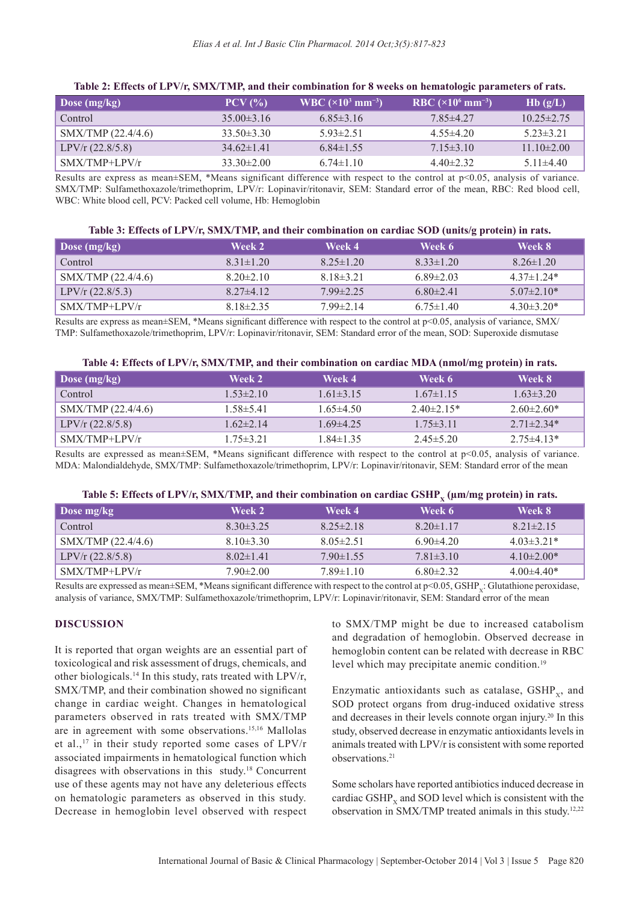| $\mid$ Dose (mg/kg) | $PCV$ $\left(\frac{9}{6}\right)$ | WBC $(\times 10^3 \text{ mm}^{-3})$ | RBC $(\times 10^6 \text{ mm}^{-3})$ | Hb(g/L)          |
|---------------------|----------------------------------|-------------------------------------|-------------------------------------|------------------|
| Control             | $35.00\pm3.16$                   | $6.85\pm3.16$                       | $7.85\pm4.27$                       | $10.25 \pm 2.75$ |
| SMX/TMP (22.4/4.6)  | $33.50\pm3.30$                   | $5.93 \pm 2.51$                     | $4.55\pm4.20$                       | $523\pm321$      |
| $LPV/r$ (22.8/5.8)  | $34.62\pm1.41$                   | $6.84\pm1.55$                       | $7.15\pm3.10$                       | 11 $10\pm 2.00$  |
| $SMX/TMP+LPV/r$     | $33.30\pm2.00$                   | $6.74\pm1.10$                       | $440\pm232$                         | $5.11\pm4.40$    |

## **Table 2: Effects of LPV/r, SMX/TMP, and their combination for 8 weeks on hematologic parameters of rats.**

Results are express as mean±SEM, \*Means significant difference with respect to the control at p<0.05, analysis of variance. SMX/TMP: Sulfamethoxazole/trimethoprim, LPV/r: Lopinavir/ritonavir, SEM: Standard error of the mean, RBC: Red blood cell, WBC: White blood cell, PCV: Packed cell volume, Hb: Hemoglobin

#### **Table 3: Effects of LPV/r, SMX/TMP, and their combination on cardiac SOD (units/g protein) in rats.**

| Dose (mg/kg)       | Week 2          | Week 4          | Week 6          | Week 8           |
|--------------------|-----------------|-----------------|-----------------|------------------|
| Control            | $8.31 \pm 1.20$ | $8.25 \pm 1.20$ | $8.33 \pm 1.20$ | $8.26 \pm 1.20$  |
| SMX/TMP (22.4/4.6) | $8.20 \pm 2.10$ | $818\pm321$     | $6.89 \pm 2.03$ | 4 37 $\pm$ 1 24* |
| $LPV/r$ (22.8/5.3) | $827\pm412$     | $799\pm225$     | $6.80\pm2.41$   | $5.07\pm2.10*$   |
| $S$ MX/TMP+LPV/r   | $818\pm235$     | $799\pm214$     | $6.75 \pm 1.40$ | $4.30\pm3.20*$   |

Results are express as mean±SEM, \*Means significant difference with respect to the control at p<0.05, analysis of variance, SMX/ TMP: Sulfamethoxazole/trimethoprim, LPV/r: Lopinavir/ritonavir, SEM: Standard error of the mean, SOD: Superoxide dismutase

|  |  | Table 4: Effects of LPV/r, SMX/TMP, and their combination on cardiac MDA (nmol/mg protein) in rats. |  |  |  |
|--|--|-----------------------------------------------------------------------------------------------------|--|--|--|
|--|--|-----------------------------------------------------------------------------------------------------|--|--|--|

| Dose $(mg/kg)$     | Week 2          | Week 4          | Week 6          | Week 8           |
|--------------------|-----------------|-----------------|-----------------|------------------|
| Control            | $1.53\pm2.10$   | $1.61\pm3.15$   | $1.67\pm1.15$   | $1.63 \pm 3.20$  |
| SMX/TMP (22.4/4.6) | $1.58 \pm 5.41$ | $1.65\pm4.50$   | $2.40\pm2.15*$  | $2.60\pm2.60*$   |
| $LPV/r$ (22.8/5.8) | $1.62\pm2.14$   | $1.69\pm4.25$   | $1.75 \pm 3.11$ | $2.71 \pm 2.34*$ |
| $SMX/TMP+LPV/r$    | $1.75 \pm 3.21$ | $1.84 \pm 1.35$ | $2.45 \pm 5.20$ | $2.75\pm4.13*$   |

Results are expressed as mean $\pm$ SEM, \*Means significant difference with respect to the control at  $p<0.05$ , analysis of variance. MDA: Malondialdehyde, SMX/TMP: Sulfamethoxazole/trimethoprim, LPV/r: Lopinavir/ritonavir, SEM: Standard error of the mean

| Table 5: Effects of LPV/r, SMX/TMP, and their combination on cardiac $GSHP_x$ ( $\mu$ m/mg protein) in rats. |
|--------------------------------------------------------------------------------------------------------------|
|--------------------------------------------------------------------------------------------------------------|

| Dose mg/kg         | Week 2          | Week 4          | Week 6          | Week 8          |
|--------------------|-----------------|-----------------|-----------------|-----------------|
| Control            | $8.30\pm3.25$   | $8.25 \pm 2.18$ | $8.20 \pm 1.17$ | $8.21 \pm 2.15$ |
| SMX/TMP (22.4/4.6) | $8.10\pm3.30$   | $8.05 \pm 2.51$ | $6.90\pm4.20$   | $4.03\pm3.21*$  |
| $LPV/r$ (22.8/5.8) | $8.02\pm1.41$   | $790\pm1.55$    | $7.81 \pm 3.10$ | $4.10\pm2.00*$  |
| $SMX/TMP+LPV/r$    | $7.90 \pm 2.00$ | $7.89 \pm 1.10$ | $6.80\pm2.32$   | $4.00\pm4.40*$  |

Results are expressed as mean±SEM, \*Means significant difference with respect to the control at p<0.05, GSHP<sub>y</sub>: Glutathione peroxidase, analysis of variance, SMX/TMP: Sulfamethoxazole/trimethoprim, LPV/r: Lopinavir/ritonavir, SEM: Standard error of the mean

## **DISCUSSION**

It is reported that organ weights are an essential part of toxicological and risk assessment of drugs, chemicals, and other biologicals.<sup>14</sup> In this study, rats treated with LPV/r, SMX/TMP, and their combination showed no significant change in cardiac weight. Changes in hematological parameters observed in rats treated with SMX/TMP are in agreement with some observations.15,16 Mallolas et al.,17 in their study reported some cases of LPV/r associated impairments in hematological function which disagrees with observations in this study.18 Concurrent use of these agents may not have any deleterious effects on hematologic parameters as observed in this study. Decrease in hemoglobin level observed with respect to SMX/TMP might be due to increased catabolism and degradation of hemoglobin. Observed decrease in hemoglobin content can be related with decrease in RBC level which may precipitate anemic condition.<sup>19</sup>

Enzymatic antioxidants such as catalase,  $GSHP_x$ , and SOD protect organs from drug-induced oxidative stress and decreases in their levels connote organ injury.<sup>20</sup> In this study, observed decrease in enzymatic antioxidants levels in animals treated with LPV/r is consistent with some reported observations.<sup>21</sup>

Some scholars have reported antibiotics induced decrease in cardiac  $GSHP<sub>x</sub>$  and SOD level which is consistent with the observation in SMX/TMP treated animals in this study.12,22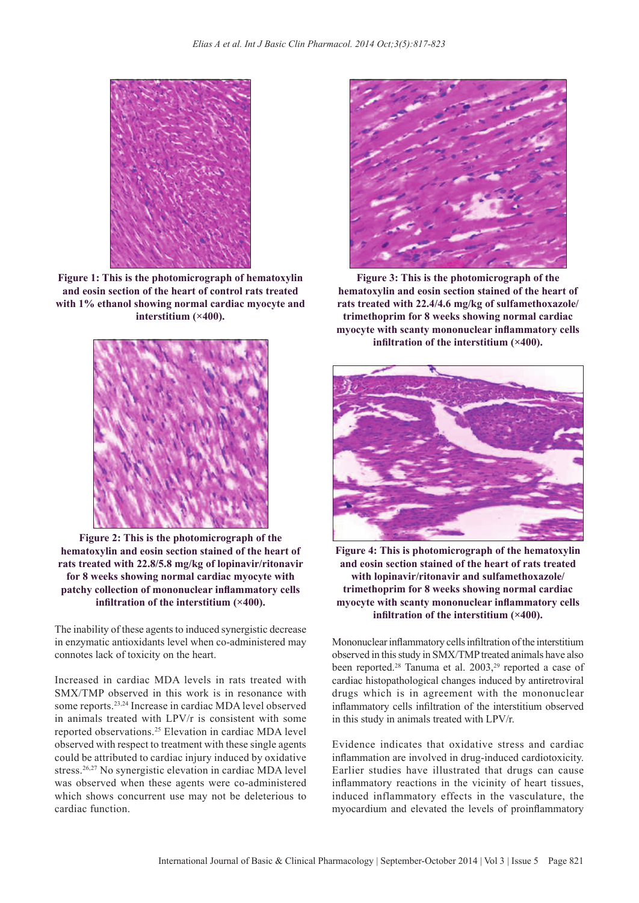

**Figure 1: This is the photomicrograph of hematoxylin and eosin section of the heart of control rats treated with 1% ethanol showing normal cardiac myocyte and interstitium (×400).**



**Figure 2: This is the photomicrograph of the hematoxylin and eosin section stained of the heart of rats treated with 22.8/5.8 mg/kg of lopinavir/ritonavir for 8 weeks showing normal cardiac myocyte with patchy collection of mononuclear inflammatory cells infiltration of the interstitium (×400).**

The inability of these agents to induced synergistic decrease in enzymatic antioxidants level when co-administered may connotes lack of toxicity on the heart.

Increased in cardiac MDA levels in rats treated with SMX/TMP observed in this work is in resonance with some reports.23,24 Increase in cardiac MDA level observed in animals treated with LPV/r is consistent with some reported observations.<sup>25</sup> Elevation in cardiac MDA level observed with respect to treatment with these single agents could be attributed to cardiac injury induced by oxidative stress.<sup>26,27</sup> No synergistic elevation in cardiac MDA level was observed when these agents were co-administered which shows concurrent use may not be deleterious to cardiac function.



**Figure 3: This is the photomicrograph of the hematoxylin and eosin section stained of the heart of rats treated with 22.4/4.6 mg/kg of sulfamethoxazole/ trimethoprim for 8 weeks showing normal cardiac myocyte with scanty mononuclear inflammatory cells infiltration of the interstitium (×400).**



**Figure 4: This is photomicrograph of the hematoxylin and eosin section stained of the heart of rats treated with lopinavir/ritonavir and sulfamethoxazole/ trimethoprim for 8 weeks showing normal cardiac myocyte with scanty mononuclear inflammatory cells infiltration of the interstitium (×400).**

Mononuclear inflammatory cells infiltration of the interstitium observed in this study in SMX/TMP treated animals have also been reported.<sup>28</sup> Tanuma et al. 2003,<sup>29</sup> reported a case of cardiac histopathological changes induced by antiretroviral drugs which is in agreement with the mononuclear inflammatory cells infiltration of the interstitium observed in this study in animals treated with LPV/r.

Evidence indicates that oxidative stress and cardiac inflammation are involved in drug-induced cardiotoxicity. Earlier studies have illustrated that drugs can cause inflammatory reactions in the vicinity of heart tissues, induced inflammatory effects in the vasculature, the myocardium and elevated the levels of proinflammatory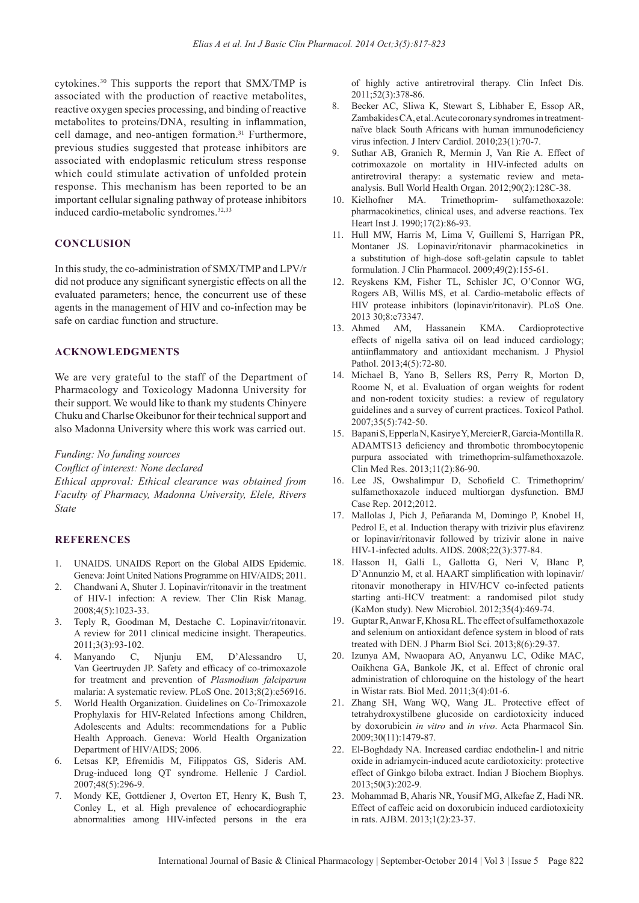cytokines.<sup>30</sup> This supports the report that SMX/TMP is associated with the production of reactive metabolites, reactive oxygen species processing, and binding of reactive metabolites to proteins/DNA, resulting in inflammation, cell damage, and neo-antigen formation.<sup>31</sup> Furthermore, previous studies suggested that protease inhibitors are associated with endoplasmic reticulum stress response which could stimulate activation of unfolded protein response. This mechanism has been reported to be an important cellular signaling pathway of protease inhibitors induced cardio-metabolic syndromes.<sup>32,33</sup>

#### **CONCLUSION**

In this study, the co-administration of SMX/TMP and LPV/r did not produce any significant synergistic effects on all the evaluated parameters; hence, the concurrent use of these agents in the management of HIV and co-infection may be safe on cardiac function and structure.

#### **ACKNOWLEDGMENTS**

We are very grateful to the staff of the Department of Pharmacology and Toxicology Madonna University for their support. We would like to thank my students Chinyere Chuku and Charlse Okeibunor for their technical support and also Madonna University where this work was carried out.

## *Funding: No funding sources*

*Conflict of interest: None declared*

*Ethical approval: Ethical clearance was obtained from Faculty of Pharmacy, Madonna University, Elele, Rivers State*

#### **REFERENCES**

- 1. UNAIDS. UNAIDS Report on the Global AIDS Epidemic. Geneva: Joint United Nations Programme on HIV/AIDS; 2011.
- 2. Chandwani A, Shuter J. Lopinavir/ritonavir in the treatment of HIV-1 infection: A review. Ther Clin Risk Manag. 2008;4(5):1023-33.
- 3. Teply R, Goodman M, Destache C. Lopinavir/ritonavir. A review for 2011 clinical medicine insight. Therapeutics.
- 2011;3(3):93-102.<br>Manyando C, 4. Manyando C, Njunju EM, D'Alessandro U, Van Geertruyden JP. Safety and efficacy of co-trimoxazole for treatment and prevention of *Plasmodium falciparum* malaria: A systematic review. PLoS One. 2013;8(2):e56916.
- 5. World Health Organization. Guidelines on Co-Trimoxazole Prophylaxis for HIV-Related Infections among Children, Adolescents and Adults: recommendations for a Public Health Approach. Geneva: World Health Organization Department of HIV/AIDS; 2006.
- 6. Letsas KP, Efremidis M, Filippatos GS, Sideris AM. Drug-induced long QT syndrome. Hellenic J Cardiol. 2007;48(5):296-9.
- 7. Mondy KE, Gottdiener J, Overton ET, Henry K, Bush T, Conley L, et al. High prevalence of echocardiographic abnormalities among HIV-infected persons in the era

of highly active antiretroviral therapy. Clin Infect Dis. 2011;52(3):378-86.

- 8. Becker AC, Sliwa K, Stewart S, Libhaber E, Essop AR, Zambakides CA, et al. Acute coronary syndromes in treatmentnaïve black South Africans with human immunodeficiency virus infection. J Interv Cardiol. 2010;23(1):70-7.
- 9. Suthar AB, Granich R, Mermin J, Van Rie A. Effect of cotrimoxazole on mortality in HIV-infected adults on antiretroviral therapy: a systematic review and metaanalysis. Bull World Health Organ. 2012;90(2):128C-38.
- 10. Kielhofner MA. Trimethoprim- sulfamethoxazole: pharmacokinetics, clinical uses, and adverse reactions. Tex Heart Inst J. 1990;17(2):86-93.
- 11. Hull MW, Harris M, Lima V, Guillemi S, Harrigan PR, Montaner JS. Lopinavir/ritonavir pharmacokinetics in a substitution of high-dose soft-gelatin capsule to tablet formulation. J Clin Pharmacol. 2009;49(2):155-61.
- 12. Reyskens KM, Fisher TL, Schisler JC, O'Connor WG, Rogers AB, Willis MS, et al. Cardio-metabolic effects of HIV protease inhibitors (lopinavir/ritonavir). PLoS One. 2013 30;8:e73347.
- 13. Ahmed AM, Hassanein KMA. Cardioprotective effects of nigella sativa oil on lead induced cardiology; antiinflammatory and antioxidant mechanism. J Physiol Pathol. 2013;4(5):72-80.
- 14. Michael B, Yano B, Sellers RS, Perry R, Morton D, Roome N, et al. Evaluation of organ weights for rodent and non-rodent toxicity studies: a review of regulatory guidelines and a survey of current practices. Toxicol Pathol. 2007;35(5):742-50.
- 15. Bapani S, Epperla N, Kasirye Y, Mercier R, Garcia-Montilla R. ADAMTS13 deficiency and thrombotic thrombocytopenic purpura associated with trimethoprim-sulfamethoxazole. Clin Med Res. 2013;11(2):86-90.
- 16. Lee JS, Owshalimpur D, Schofield C. Trimethoprim/ sulfamethoxazole induced multiorgan dysfunction. BMJ Case Rep. 2012;2012.
- 17. Mallolas J, Pich J, Peñaranda M, Domingo P, Knobel H, Pedrol E, et al. Induction therapy with trizivir plus efavirenz or lopinavir/ritonavir followed by trizivir alone in naive HIV-1-infected adults. AIDS. 2008;22(3):377-84.
- 18. Hasson H, Galli L, Gallotta G, Neri V, Blanc P, D'Annunzio M, et al. HAART simplification with lopinavir/ ritonavir monotherapy in HIV/HCV co-infected patients starting anti-HCV treatment: a randomised pilot study (KaMon study). New Microbiol. 2012;35(4):469-74.
- 19. Guptar R, Anwar F, Khosa RL. The effect of sulfamethoxazole and selenium on antioxidant defence system in blood of rats treated with DEN. J Pharm Biol Sci. 2013;8(6):29-37.
- 20. Izunya AM, Nwaopara AO, Anyanwu LC, Odike MAC, Oaikhena GA, Bankole JK, et al. Effect of chronic oral administration of chloroquine on the histology of the heart in Wistar rats. Biol Med. 2011;3(4):01-6.
- 21. Zhang SH, Wang WQ, Wang JL. Protective effect of tetrahydroxystilbene glucoside on cardiotoxicity induced by doxorubicin *in vitro* and *in vivo*. Acta Pharmacol Sin. 2009;30(11):1479-87.
- 22. El-Boghdady NA. Increased cardiac endothelin-1 and nitric oxide in adriamycin-induced acute cardiotoxicity: protective effect of Ginkgo biloba extract. Indian J Biochem Biophys. 2013;50(3):202-9.
- 23. Mohammad B, Aharis NR, Yousif MG, Alkefae Z, Hadi NR. Effect of caffeic acid on doxorubicin induced cardiotoxicity in rats. AJBM. 2013;1(2):23-37.